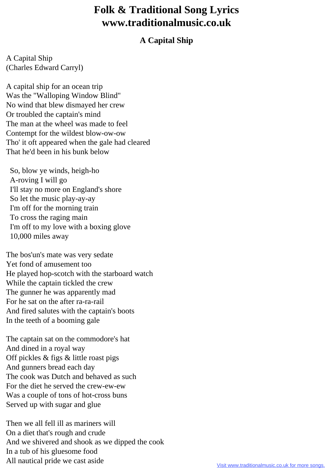## **Folk & Traditional Song Lyrics www.traditionalmusic.co.uk**

## **A Capital Ship**

A Capital Ship (Charles Edward Carryl)

A capital ship for an ocean trip Was the "Walloping Window Blind" No wind that blew dismayed her crew Or troubled the captain's mind The man at the wheel was made to feel Contempt for the wildest blow-ow-ow Tho' it oft appeared when the gale had cleared That he'd been in his bunk below

 So, blow ye winds, heigh-ho A-roving I will go I'll stay no more on England's shore So let the music play-ay-ay I'm off for the morning train To cross the raging main I'm off to my love with a boxing glove 10,000 miles away

The bos'un's mate was very sedate Yet fond of amusement too He played hop-scotch with the starboard watch While the captain tickled the crew The gunner he was apparently mad For he sat on the after ra-ra-rail And fired salutes with the captain's boots In the teeth of a booming gale

The captain sat on the commodore's hat And dined in a royal way Off pickles & figs & little roast pigs And gunners bread each day The cook was Dutch and behaved as such For the diet he served the crew-ew-ew Was a couple of tons of hot-cross buns Served up with sugar and glue

Then we all fell ill as mariners will On a diet that's rough and crude And we shivered and shook as we dipped the cook In a tub of his gluesome food All nautical pride we cast aside